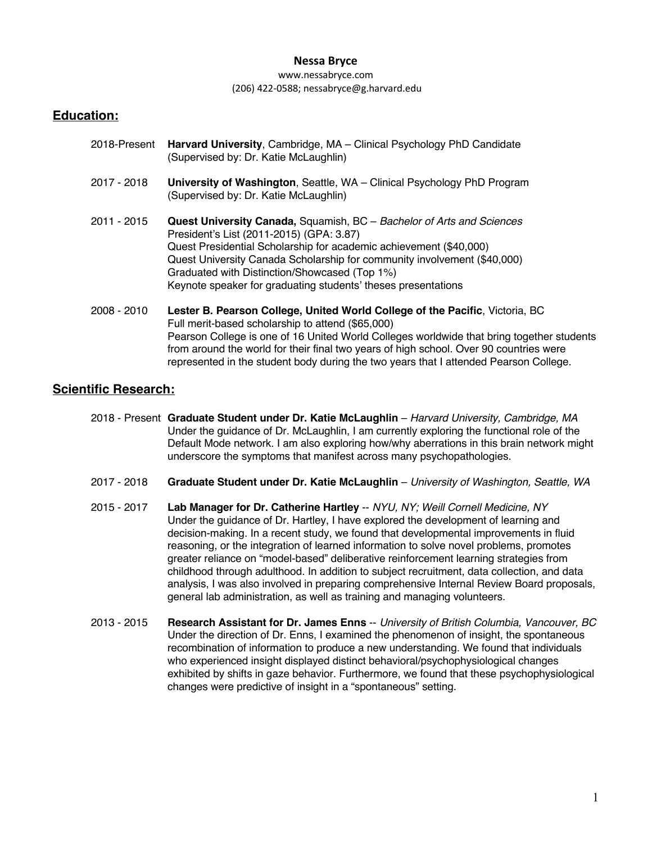#### www.nessabryce.com (206) 422-0588; nessabryce@g.harvard.edu

# **Education:**

| 2018-Present | Harvard University, Cambridge, MA - Clinical Psychology PhD Candidate<br>(Supervised by: Dr. Katie McLaughlin)                                                                                                                                                                                                                                                                                                    |
|--------------|-------------------------------------------------------------------------------------------------------------------------------------------------------------------------------------------------------------------------------------------------------------------------------------------------------------------------------------------------------------------------------------------------------------------|
| 2017 - 2018  | University of Washington, Seattle, WA - Clinical Psychology PhD Program<br>(Supervised by: Dr. Katie McLaughlin)                                                                                                                                                                                                                                                                                                  |
| 2011 - 2015  | <b>Quest University Canada, Squamish, BC</b> – Bachelor of Arts and Sciences<br>President's List (2011-2015) (GPA: 3.87)<br>Quest Presidential Scholarship for academic achievement (\$40,000)<br>Quest University Canada Scholarship for community involvement (\$40,000)<br>Graduated with Distinction/Showcased (Top 1%)<br>Keynote speaker for graduating students' theses presentations                      |
| 2008 - 2010  | Lester B. Pearson College, United World College of the Pacific, Victoria, BC<br>Full merit-based scholarship to attend (\$65,000)<br>Pearson College is one of 16 United World Colleges worldwide that bring together students<br>from around the world for their final two years of high school. Over 90 countries were<br>represented in the student body during the two years that I attended Pearson College. |

# **Scientific Research:**

- 2018 Present **Graduate Student under Dr. Katie McLaughlin** *Harvard University, Cambridge, MA* Under the guidance of Dr. McLaughlin, I am currently exploring the functional role of the Default Mode network. I am also exploring how/why aberrations in this brain network might underscore the symptoms that manifest across many psychopathologies.
- 2017 2018 **Graduate Student under Dr. Katie McLaughlin** *University of Washington, Seattle, WA*
- 2015 2017 **Lab Manager for Dr. Catherine Hartley** -- *NYU, NY; Weill Cornell Medicine, NY*  Under the guidance of Dr. Hartley, I have explored the development of learning and decision-making. In a recent study, we found that developmental improvements in fluid reasoning, or the integration of learned information to solve novel problems, promotes greater reliance on "model-based" deliberative reinforcement learning strategies from childhood through adulthood. In addition to subject recruitment, data collection, and data analysis, I was also involved in preparing comprehensive Internal Review Board proposals, general lab administration, as well as training and managing volunteers.
- 2013 2015 **Research Assistant for Dr. James Enns** -- *University of British Columbia, Vancouver, BC* Under the direction of Dr. Enns, I examined the phenomenon of insight, the spontaneous recombination of information to produce a new understanding. We found that individuals who experienced insight displayed distinct behavioral/psychophysiological changes exhibited by shifts in gaze behavior. Furthermore, we found that these psychophysiological changes were predictive of insight in a "spontaneous" setting.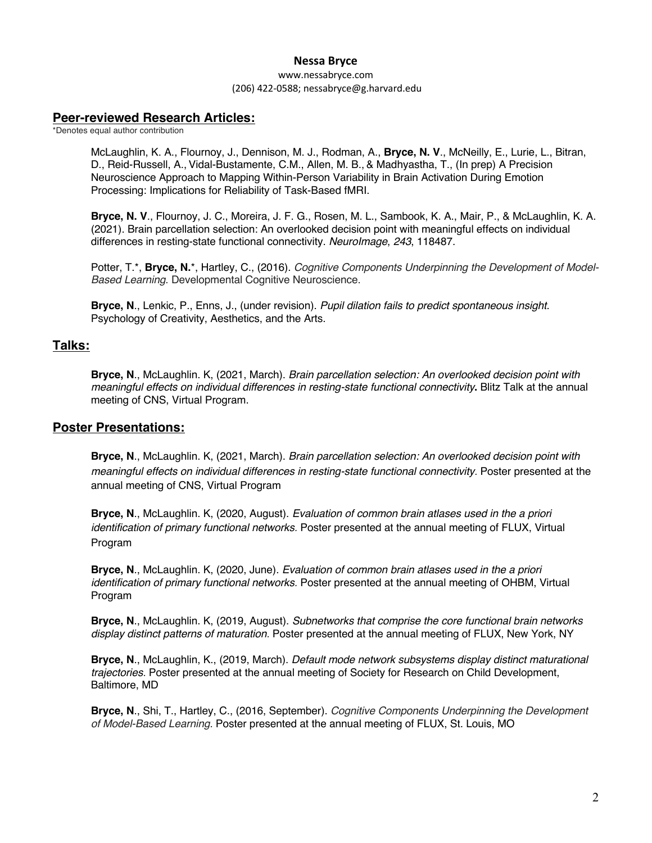www.nessabryce.com (206) 422-0588; nessabryce@g.harvard.edu

# **Peer-reviewed Research Articles:**

\*Denotes equal author contribution

McLaughlin, K. A., Flournoy, J., Dennison, M. J., Rodman, A., **Bryce, N. V**., McNeilly, E., Lurie, L., Bitran, D., Reid-Russell, A., Vidal-Bustamente, C.M., Allen, M. B., & Madhyastha, T., (In prep) A Precision Neuroscience Approach to Mapping Within-Person Variability in Brain Activation During Emotion Processing: Implications for Reliability of Task-Based fMRI.

**Bryce, N. V**., Flournoy, J. C., Moreira, J. F. G., Rosen, M. L., Sambook, K. A., Mair, P., & McLaughlin, K. A. (2021). Brain parcellation selection: An overlooked decision point with meaningful effects on individual differences in resting-state functional connectivity. *NeuroImage*, *243*, 118487.

Potter, T.\*, **Bryce, N.**\*, Hartley, C., (2016). *Cognitive Components Underpinning the Development of Model-Based Learning*. Developmental Cognitive Neuroscience.

**Bryce, N**., Lenkic, P., Enns, J., (under revision). *Pupil dilation fails to predict spontaneous insight.*  Psychology of Creativity, Aesthetics, and the Arts.

## **Talks:**

**Bryce, N**., McLaughlin. K, (2021, March). *Brain parcellation selection: An overlooked decision point with meaningful effects on individual differences in resting-state functional connectivity***.** Blitz Talk at the annual meeting of CNS, Virtual Program.

## **Poster Presentations:**

**Bryce, N**., McLaughlin. K, (2021, March). *Brain parcellation selection: An overlooked decision point with meaningful effects on individual differences in resting-state functional connectivity.* Poster presented at the annual meeting of CNS, Virtual Program

**Bryce, N**., McLaughlin. K, (2020, August). *Evaluation of common brain atlases used in the a priori identification of primary functional networks.* Poster presented at the annual meeting of FLUX, Virtual Program

**Bryce, N**., McLaughlin. K, (2020, June). *Evaluation of common brain atlases used in the a priori identification of primary functional networks.* Poster presented at the annual meeting of OHBM, Virtual Program

**Bryce, N**., McLaughlin. K, (2019, August). *Subnetworks that comprise the core functional brain networks display distinct patterns of maturation.* Poster presented at the annual meeting of FLUX, New York, NY

**Bryce, N**., McLaughlin, K., (2019, March). *Default mode network subsystems display distinct maturational trajectories.* Poster presented at the annual meeting of Society for Research on Child Development, Baltimore, MD

**Bryce, N**., Shi, T., Hartley, C., (2016, September). *Cognitive Components Underpinning the Development of Model-Based Learning.* Poster presented at the annual meeting of FLUX, St. Louis, MO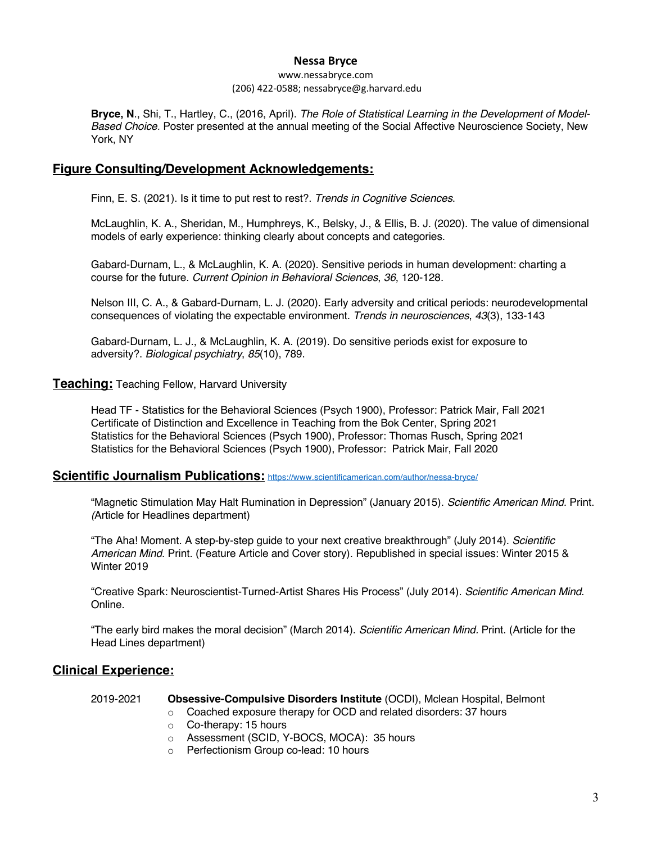#### www.nessabryce.com (206) 422-0588; nessabryce@g.harvard.edu

**Bryce, N**., Shi, T., Hartley, C., (2016, April). *The Role of Statistical Learning in the Development of Model-Based Choice.* Poster presented at the annual meeting of the Social Affective Neuroscience Society, New York, NY

# **Figure Consulting/Development Acknowledgements:**

Finn, E. S. (2021). Is it time to put rest to rest?. *Trends in Cognitive Sciences*.

McLaughlin, K. A., Sheridan, M., Humphreys, K., Belsky, J., & Ellis, B. J. (2020). The value of dimensional models of early experience: thinking clearly about concepts and categories.

Gabard-Durnam, L., & McLaughlin, K. A. (2020). Sensitive periods in human development: charting a course for the future. *Current Opinion in Behavioral Sciences*, *36*, 120-128.

Nelson III, C. A., & Gabard-Durnam, L. J. (2020). Early adversity and critical periods: neurodevelopmental consequences of violating the expectable environment. *Trends in neurosciences*, *43*(3), 133-143

Gabard-Durnam, L. J., & McLaughlin, K. A. (2019). Do sensitive periods exist for exposure to adversity?. *Biological psychiatry*, *85*(10), 789.

### **Teaching:** Teaching Fellow, Harvard University

Head TF - Statistics for the Behavioral Sciences (Psych 1900), Professor: Patrick Mair, Fall 2021 Certificate of Distinction and Excellence in Teaching from the Bok Center, Spring 2021 Statistics for the Behavioral Sciences (Psych 1900), Professor: Thomas Rusch, Spring 2021 Statistics for the Behavioral Sciences (Psych 1900), Professor: Patrick Mair, Fall 2020

### **Scientific Journalism Publications:** https://www.scientificamerican.com/author/nessa-bryce/

"Magnetic Stimulation May Halt Rumination in Depression" (January 2015). *Scientific American Mind.* Print. *(*Article for Headlines department)

"The Aha! Moment. A step-by-step guide to your next creative breakthrough" (July 2014). *Scientific American Mind*. Print. (Feature Article and Cover story). Republished in special issues: Winter 2015 & Winter 2019

"Creative Spark: Neuroscientist-Turned-Artist Shares His Process" (July 2014). *Scientific American Mind*. Online.

"The early bird makes the moral decision" (March 2014). *Scientific American Mind.* Print. (Article for the Head Lines department)

## **Clinical Experience:**

#### 2019-2021 **Obsessive-Compulsive Disorders Institute** (OCDI), Mclean Hospital, Belmont

- o Coached exposure therapy for OCD and related disorders: 37 hours
- o Co-therapy: 15 hours
- o Assessment (SCID, Y-BOCS, MOCA): 35 hours
- o Perfectionism Group co-lead: 10 hours